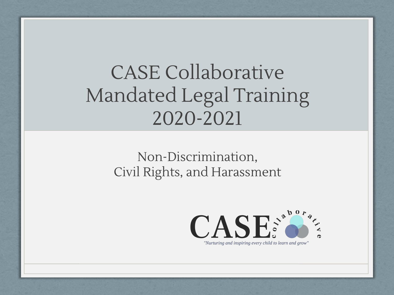## CASE Collaborative Mandated Legal Training 2020-2021

#### Non-Discrimination, Civil Rights, and Harassment

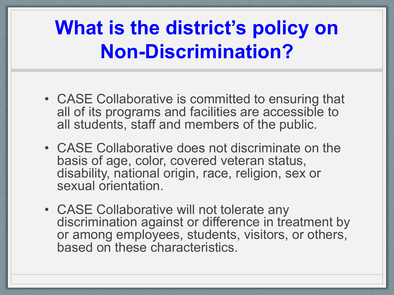## **What is the district's policy on Non-Discrimination?**

- CASE Collaborative is committed to ensuring that all of its programs and facilities are accessible to all students, staff and members of the public.
- CASE Collaborative does not discriminate on the basis of age, color, covered veteran status, disability, national origin, race, religion, sex or sexual orientation.
- CASE Collaborative will not tolerate any discrimination against or difference in treatment by or among employees, students, visitors, or others, based on these characteristics.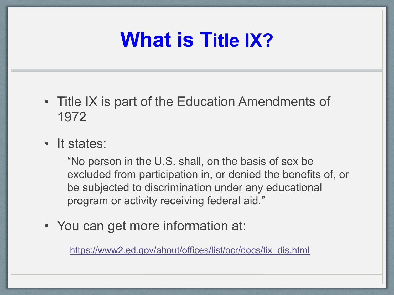## **What is Title IX?**

- Title IX is part of the Education Amendments of 1972
- It states:

"No person in the U.S. shall, on the basis of sex be excluded from participation in, or denied the benefits of, or be subjected to discrimination under any educational program or activity receiving federal aid."

• You can get more information at:

[https://www2.ed.gov/about/offices/list/ocr/docs/tix\\_dis.html](https://www2.ed.gov/about/offices/list/ocr/docs/tix_dis.html)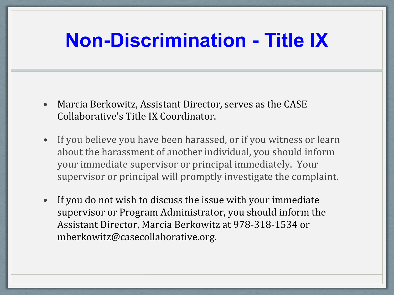## **Non-Discrimination - Title IX**

- Marcia Berkowitz, Assistant Director, serves as the CASE Collaborative's Title IX Coordinator.
- If you believe you have been harassed, or if you witness or learn about the harassment of another individual, you should inform your immediate supervisor or principal immediately. Your supervisor or principal will promptly investigate the complaint.
- If you do not wish to discuss the issue with your immediate supervisor or Program Administrator, you should inform the Assistant Director, Marcia Berkowitz at 978-318-1534 or mberkowitz@casecollaborative.org.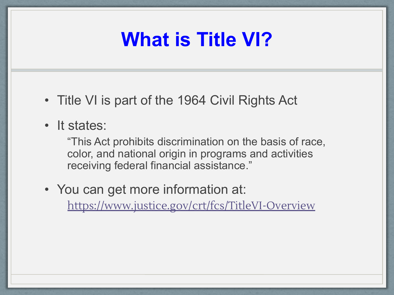## **What is Title VI?**

- Title VI is part of the 1964 Civil Rights Act
- It states:

"This Act prohibits discrimination on the basis of race, color, and national origin in programs and activities receiving federal financial assistance."

• You can get more information at: <https://www.justice.gov/crt/fcs/TitleVI-Overview>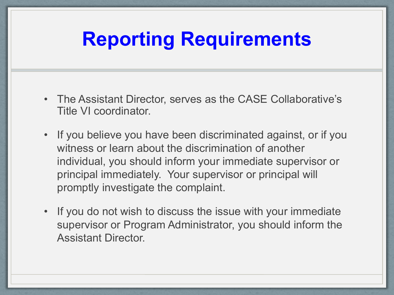## **Reporting Requirements**

- The Assistant Director, serves as the CASE Collaborative's Title VI coordinator.
- If you believe you have been discriminated against, or if you witness or learn about the discrimination of another individual, you should inform your immediate supervisor or principal immediately. Your supervisor or principal will promptly investigate the complaint.
- If you do not wish to discuss the issue with your immediate supervisor or Program Administrator, you should inform the Assistant Director.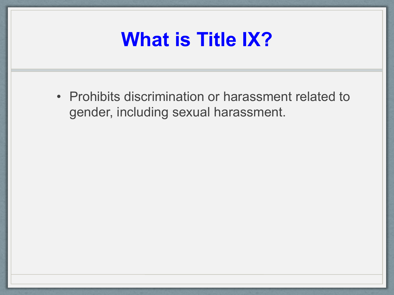## **What is Title IX?**

• Prohibits discrimination or harassment related to gender, including sexual harassment.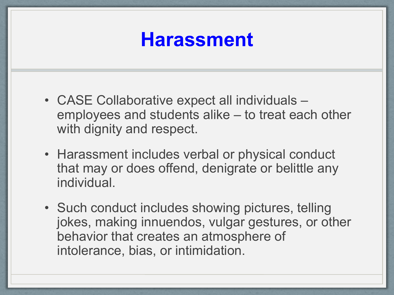### **Harassment**

- CASE Collaborative expect all individuals employees and students alike – to treat each other with dignity and respect.
- Harassment includes verbal or physical conduct that may or does offend, denigrate or belittle any individual.
- Such conduct includes showing pictures, telling jokes, making innuendos, vulgar gestures, or other behavior that creates an atmosphere of intolerance, bias, or intimidation.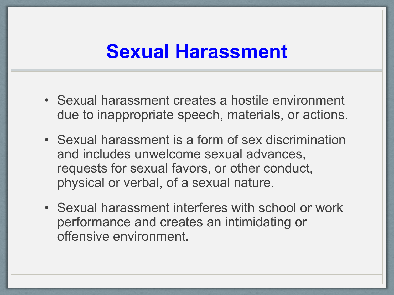#### **Sexual Harassment**

- Sexual harassment creates a hostile environment due to inappropriate speech, materials, or actions.
- Sexual harassment is a form of sex discrimination and includes unwelcome sexual advances, requests for sexual favors, or other conduct, physical or verbal, of a sexual nature.
- Sexual harassment interferes with school or work performance and creates an intimidating or offensive environment.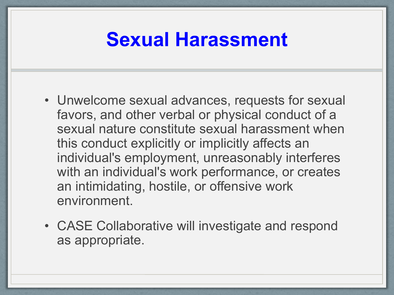#### **Sexual Harassment**

- Unwelcome sexual advances, requests for sexual favors, and other verbal or physical conduct of a sexual nature constitute sexual harassment when this conduct explicitly or implicitly affects an individual's employment, unreasonably interferes with an individual's work performance, or creates an intimidating, hostile, or offensive work environment.
- CASE Collaborative will investigate and respond as appropriate.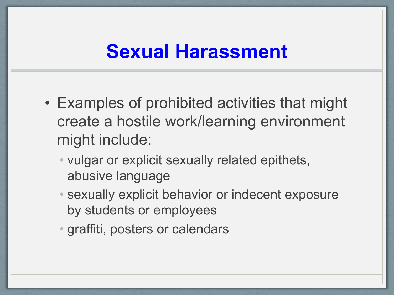#### **Sexual Harassment**

- Examples of prohibited activities that might create a hostile work/learning environment might include:
	- vulgar or explicit sexually related epithets, abusive language
	- sexually explicit behavior or indecent exposure by students or employees
	- graffiti, posters or calendars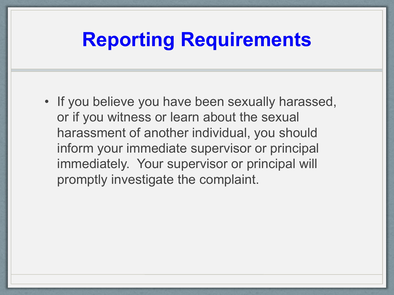#### **Reporting Requirements**

• If you believe you have been sexually harassed, or if you witness or learn about the sexual harassment of another individual, you should inform your immediate supervisor or principal immediately. Your supervisor or principal will promptly investigate the complaint.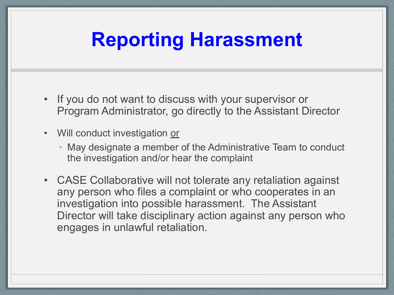## **Reporting Harassment**

- If you do not want to discuss with your supervisor or Program Administrator, go directly to the Assistant Director
- Will conduct investigation or
	- May designate a member of the Administrative Team to conduct the investigation and/or hear the complaint
- CASE Collaborative will not tolerate any retaliation against any person who files a complaint or who cooperates in an investigation into possible harassment. The Assistant Director will take disciplinary action against any person who engages in unlawful retaliation.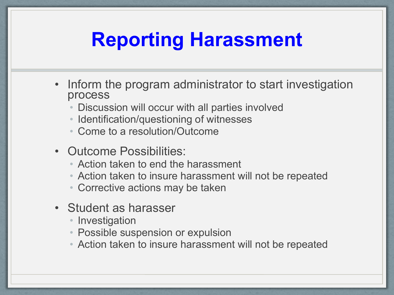## **Reporting Harassment**

- Inform the program administrator to start investigation process
	- Discussion will occur with all parties involved
	- Identification/questioning of witnesses
	- Come to a resolution/Outcome
- Outcome Possibilities:
	- Action taken to end the harassment
	- Action taken to insure harassment will not be repeated
	- Corrective actions may be taken
- Student as harasser
	- Investigation
	- Possible suspension or expulsion
	- Action taken to insure harassment will not be repeated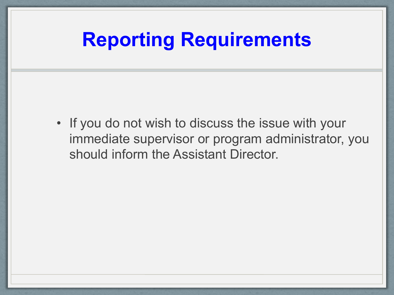## **Reporting Requirements**

• If you do not wish to discuss the issue with your immediate supervisor or program administrator, you should inform the Assistant Director.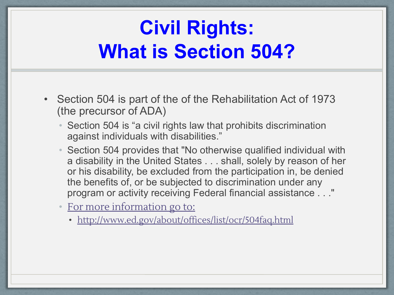## **Civil Rights: What is Section 504?**

- Section 504 is part of the of the Rehabilitation Act of 1973 (the precursor of ADA)
	- Section 504 is "a civil rights law that prohibits discrimination against individuals with disabilities."
	- Section 504 provides that "No otherwise qualified individual with a disability in the United States . . . shall, solely by reason of her or his disability, be excluded from the participation in, be denied the benefits of, or be subjected to discrimination under any program or activity receiving Federal financial assistance . . ."
	- [For more information go to:](http://www.ed.gov/about/offices/list/ocr/504faq.html)
		- <http://www.ed.gov/about/offices/list/ocr/504faq.html>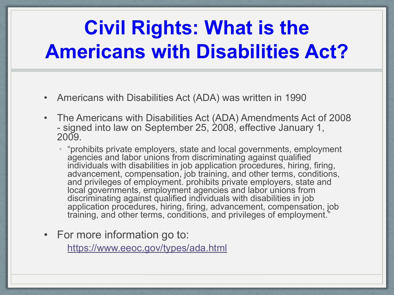# **Civil Rights: What is the Americans with Disabilities Act?**

- Americans with Disabilities Act (ADA) was written in 1990
- The Americans with Disabilities Act (ADA) Amendments Act of 2008 - signed into law on September 25, 2008, effective January 1,  $2009$ 
	- "prohibits private employers, state and local governments, employment agencies and labor unions from discriminating against qualified individuals with disabilities in job application procedures, hiring, firing, advancement, compensation, job training, and other terms, conditions, and privileges of employment. prohibits private employers, state and local governments, employment agencies and labor unions from discriminating against qualified individuals with disabilities in job application procedures, hiring, firing, advancement, compensation, job training, and other terms, conditions, and privileges of employment."
- For more information go to:

<https://www.eeoc.gov/types/ada.html>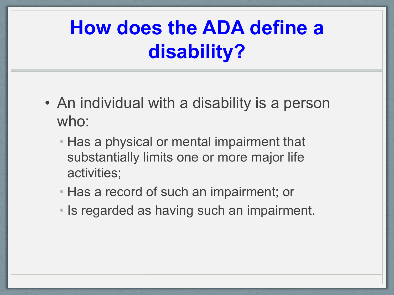## **How does the ADA define a disability?**

- An individual with a disability is a person who:
	- Has a physical or mental impairment that substantially limits one or more major life activities;
	- Has a record of such an impairment; or
	- Is regarded as having such an impairment.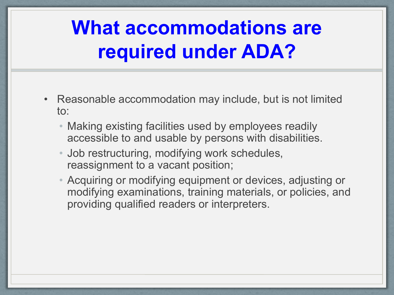## **What accommodations are required under ADA?**

- Reasonable accommodation may include, but is not limited to:
	- Making existing facilities used by employees readily accessible to and usable by persons with disabilities.
	- Job restructuring, modifying work schedules, reassignment to a vacant position;
	- Acquiring or modifying equipment or devices, adjusting or modifying examinations, training materials, or policies, and providing qualified readers or interpreters.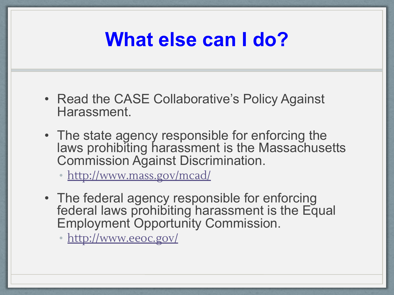## **What else can I do?**

- Read the CASE Collaborative's Policy Against Harassment.
- The state agency responsible for enforcing the laws prohibiting harassment is the Massachusetts Commission Against Discrimination.

• <http://www.mass.gov/mcad/>

• The federal agency responsible for enforcing federal laws prohibiting harassment is the Equal Employment Opportunity Commission.

• <http://www.eeoc.gov/>